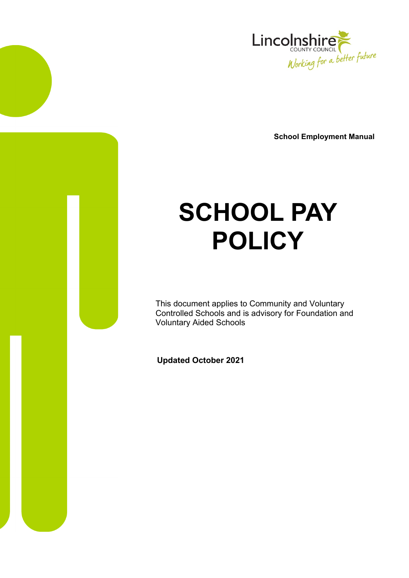

**School Employment Manual** 

# **SCHOOL PAY POLICY**

This document applies to Community and Voluntary Controlled Schools and is advisory for Foundation and Voluntary Aided Schools

**Updated October 2021**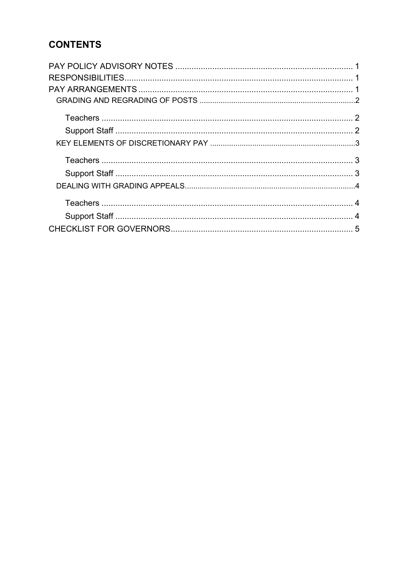# **CONTENTS**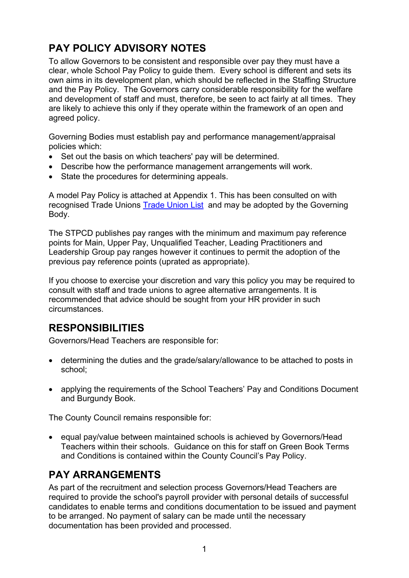# <span id="page-2-0"></span>**PAY POLICY ADVISORY NOTES**

To allow Governors to be consistent and responsible over pay they must have a clear, whole School Pay Policy to guide them. Every school is different and sets its own aims in its development plan, which should be reflected in the Staffing Structure and the Pay Policy. The Governors carry considerable responsibility for the welfare and development of staff and must, therefore, be seen to act fairly at all times. They are likely to achieve this only if they operate within the framework of an open and agreed policy.

Governing Bodies must establish pay and performance management/appraisal policies which:

- Set out the basis on which teachers' pay will be determined.
- Describe how the performance management arrangements will work.
- State the procedures for determining appeals.

recognised Trade Unions [Trade Union List](https://professionals.lincolnshire.gov.uk/directory-record/27/trade-union-list) and may be adopted by the Governing A model Pay Policy is attached at Appendix 1. This has been consulted on with Body.

The STPCD publishes pay ranges with the minimum and maximum pay reference points for Main, Upper Pay, Unqualified Teacher, Leading Practitioners and Leadership Group pay ranges however it continues to permit the adoption of the previous pay reference points (uprated as appropriate).

 consult with staff and trade unions to agree alternative arrangements. It is If you choose to exercise your discretion and vary this policy you may be required to recommended that advice should be sought from your HR provider in such circumstances.

# **RESPONSIBILITIES**

Governors/Head Teachers are responsible for:

- determining the duties and the grade/salary/allowance to be attached to posts in school;
- applying the requirements of the School Teachers' Pay and Conditions Document and Burgundy Book.

The County Council remains responsible for:

• equal pay/value between maintained schools is achieved by Governors/Head Teachers within their schools. Guidance on this for staff on Green Book Terms and Conditions is contained within the County Council's Pay Policy.

## **PAY ARRANGEMENTS**

As part of the recruitment and selection process Governors/Head Teachers are required to provide the school's payroll provider with personal details of successful candidates to enable terms and conditions documentation to be issued and payment to be arranged. No payment of salary can be made until the necessary documentation has been provided and processed.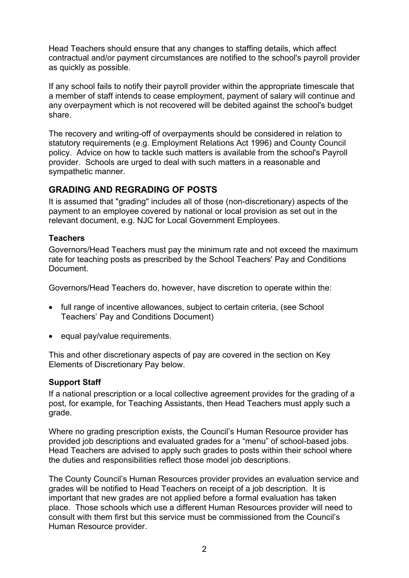<span id="page-3-0"></span>Head Teachers should ensure that any changes to staffing details, which affect contractual and/or payment circumstances are notified to the school's payroll provider as quickly as possible.

If any school fails to notify their payroll provider within the appropriate timescale that a member of staff intends to cease employment, payment of salary will continue and any overpayment which is not recovered will be debited against the school's budget share.

The recovery and writing-off of overpayments should be considered in relation to statutory requirements (e.g. Employment Relations Act 1996) and County Council policy. Advice on how to tackle such matters is available from the school's Payroll provider. Schools are urged to deal with such matters in a reasonable and sympathetic manner.

## **GRADING AND REGRADING OF POSTS**

It is assumed that "grading" includes all of those (non-discretionary) aspects of the payment to an employee covered by national or local provision as set out in the relevant document, e.g. NJC for Local Government Employees.

## **Teachers**

Governors/Head Teachers must pay the minimum rate and not exceed the maximum rate for teaching posts as prescribed by the School Teachers' Pay and Conditions Document.

Governors/Head Teachers do, however, have discretion to operate within the:

- full range of incentive allowances, subject to certain criteria, (see School Teachers' Pay and Conditions Document)
- equal pay/value requirements.

This and other discretionary aspects of pay are covered in the section on Key Elements of Discretionary Pay below.

## **Support Staff**

If a national prescription or a local collective agreement provides for the grading of a post, for example, for Teaching Assistants, then Head Teachers must apply such a grade.

provided job descriptions and evaluated grades for a "menu" of school-based jobs. Where no grading prescription exists, the Council's Human Resource provider has Head Teachers are advised to apply such grades to posts within their school where the duties and responsibilities reflect those model job descriptions.

The County Council's Human Resources provider provides an evaluation service and grades will be notified to Head Teachers on receipt of a job description. It is important that new grades are not applied before a formal evaluation has taken place. Those schools which use a different Human Resources provider will need to consult with them first but this service must be commissioned from the Council's Human Resource provider.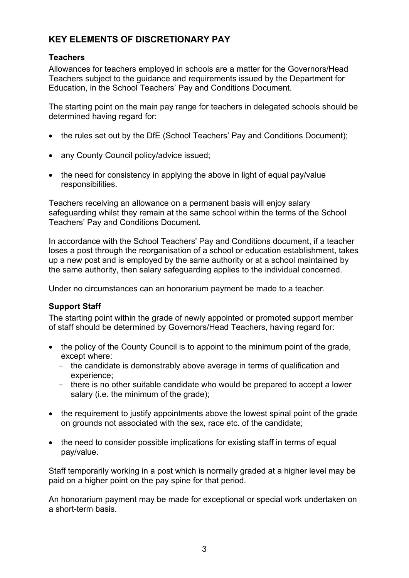## <span id="page-4-0"></span> **KEY ELEMENTS OF DISCRETIONARY PAY**

## **Teachers**

Allowances for teachers employed in schools are a matter for the Governors/Head Teachers subject to the guidance and requirements issued by the Department for Education, in the School Teachers' Pay and Conditions Document.

The starting point on the main pay range for teachers in delegated schools should be determined having regard for:

- the rules set out by the DfE (School Teachers' Pay and Conditions Document);
- any County Council policy/advice issued:
- the need for consistency in applying the above in light of equal pay/value responsibilities.

 safeguarding whilst they remain at the same school within the terms of the School Teachers receiving an allowance on a permanent basis will enjoy salary Teachers' Pay and Conditions Document.

 In accordance with the School Teachers' Pay and Conditions document, if a teacher the same authority, then salary safeguarding applies to the individual concerned. loses a post through the reorganisation of a school or education establishment, takes up a new post and is employed by the same authority or at a school maintained by

Under no circumstances can an honorarium payment be made to a teacher.

## **Support Staff**

 The starting point within the grade of newly appointed or promoted support member of staff should be determined by Governors/Head Teachers, having regard for:

- the policy of the County Council is to appoint to the minimum point of the grade, except where:
	- the candidate is demonstrably above average in terms of qualification and experience;
	- there is no other suitable candidate who would be prepared to accept a lower salary (i.e. the minimum of the grade);
- the requirement to justify appointments above the lowest spinal point of the grade on grounds not associated with the sex, race etc. of the candidate;
- the need to consider possible implications for existing staff in terms of equal pay/value.

Staff temporarily working in a post which is normally graded at a higher level may be paid on a higher point on the pay spine for that period.

An honorarium payment may be made for exceptional or special work undertaken on a short-term basis.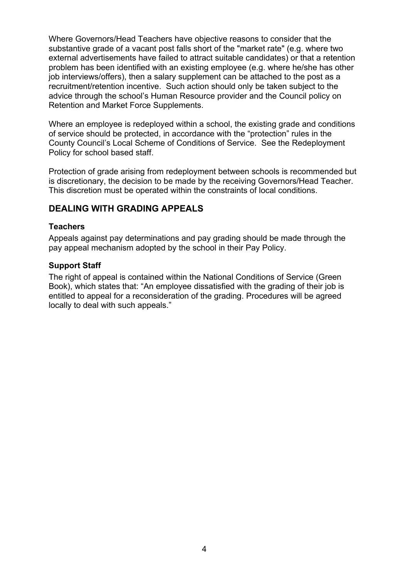<span id="page-5-0"></span>Where Governors/Head Teachers have objective reasons to consider that the substantive grade of a vacant post falls short of the "market rate" (e.g. where two external advertisements have failed to attract suitable candidates) or that a retention problem has been identified with an existing employee (e.g. where he/she has other job interviews/offers), then a salary supplement can be attached to the post as a recruitment/retention incentive. Such action should only be taken subject to the advice through the school's Human Resource provider and the Council policy on Retention and Market Force Supplements.

Where an employee is redeployed within a school, the existing grade and conditions of service should be protected, in accordance with the "protection" rules in the County Council's Local Scheme of Conditions of Service. See the Redeployment Policy for school based staff.

is discretionary, the decision to be made by the receiving Governors/Head Teacher. Protection of grade arising from redeployment between schools is recommended but This discretion must be operated within the constraints of local conditions.

## **DEALING WITH GRADING APPEALS**

#### **Teachers**

Appeals against pay determinations and pay grading should be made through the pay appeal mechanism adopted by the school in their Pay Policy.

#### **Support Staff**

The right of appeal is contained within the National Conditions of Service (Green Book), which states that: "An employee dissatisfied with the grading of their job is entitled to appeal for a reconsideration of the grading. Procedures will be agreed locally to deal with such appeals."